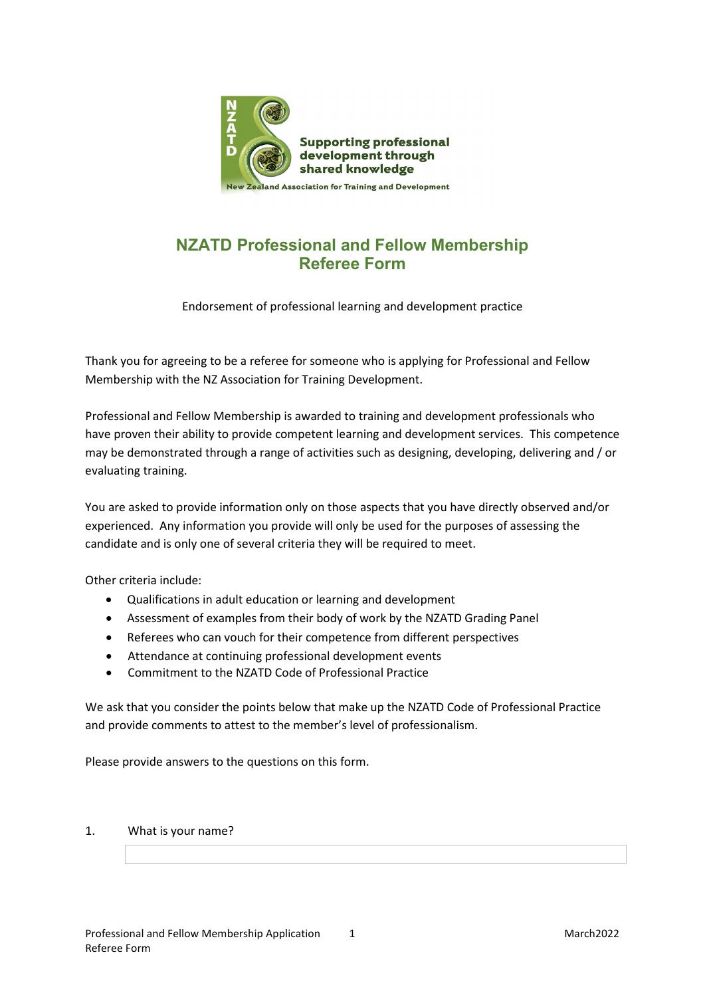

# **NZATD Professional and Fellow Membership Referee Form**

Endorsement of professional learning and development practice

Thank you for agreeing to be a referee for someone who is applying for Professional and Fellow Membership with the NZ Association for Training Development.

Professional and Fellow Membership is awarded to training and development professionals who have proven their ability to provide competent learning and development services. This competence may be demonstrated through a range of activities such as designing, developing, delivering and / or evaluating training.

You are asked to provide information only on those aspects that you have directly observed and/or experienced. Any information you provide will only be used for the purposes of assessing the candidate and is only one of several criteria they will be required to meet.

Other criteria include:

- Qualifications in adult education or learning and development
- Assessment of examples from their body of work by the NZATD Grading Panel
- Referees who can vouch for their competence from different perspectives
- Attendance at continuing professional development events
- Commitment to the NZATD Code of Professional Practice

We ask that you consider the points below that make up the NZATD Code of Professional Practice and provide comments to attest to the member's level of professionalism.

Please provide answers to the questions on this form.

## 1. What is your name?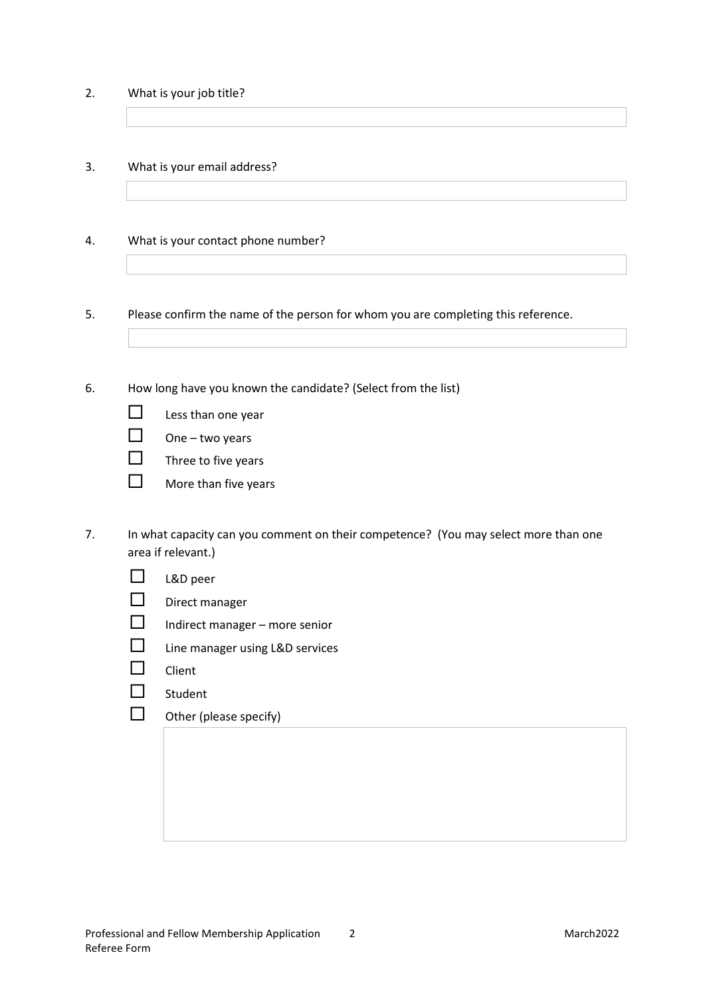2. What is your job title?

## 3. What is your email address?

## 4. What is your contact phone number?

5. Please confirm the name of the person for whom you are completing this reference.

6. How long have you known the candidate? (Select from the list)

- $\Box$  One two years
- $\Box$  Three to five years
- $\Box$  More than five years
- 7. In what capacity can you comment on their competence? (You may select more than one area if relevant.)
	- L&D peer
	- $\Box$  Direct manager
	- $\Box$  Indirect manager more senior
	- $\Box$  Line manager using L&D services
	- $\Box$  Client
	- $\square$  Student
	- $\Box$  Other (please specify)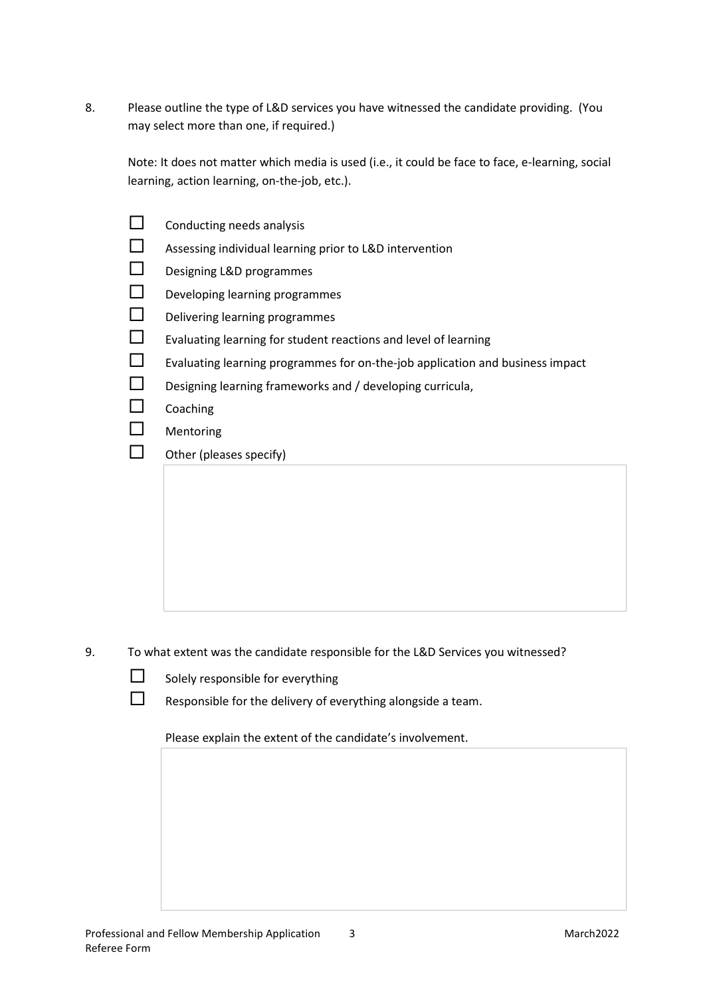8. Please outline the type of L&D services you have witnessed the candidate providing. (You may select more than one, if required.)

Note: It does not matter which media is used (i.e., it could be face to face, e-learning, social learning, action learning, on-the-job, etc.).

| Conducting needs analysis                                                     |
|-------------------------------------------------------------------------------|
| Assessing individual learning prior to L&D intervention                       |
| Designing L&D programmes                                                      |
| Developing learning programmes                                                |
| Delivering learning programmes                                                |
| Evaluating learning for student reactions and level of learning               |
| Evaluating learning programmes for on-the-job application and business impact |
| Designing learning frameworks and / developing curricula,                     |
| Coaching                                                                      |
| Mentoring                                                                     |
| Other (pleases specify)                                                       |
|                                                                               |
|                                                                               |
|                                                                               |

- 9. To what extent was the candidate responsible for the L&D Services you witnessed?
	- $\Box$  Solely responsible for everything
	- $\Box$  Responsible for the delivery of everything alongside a team.

Please explain the extent of the candidate's involvement.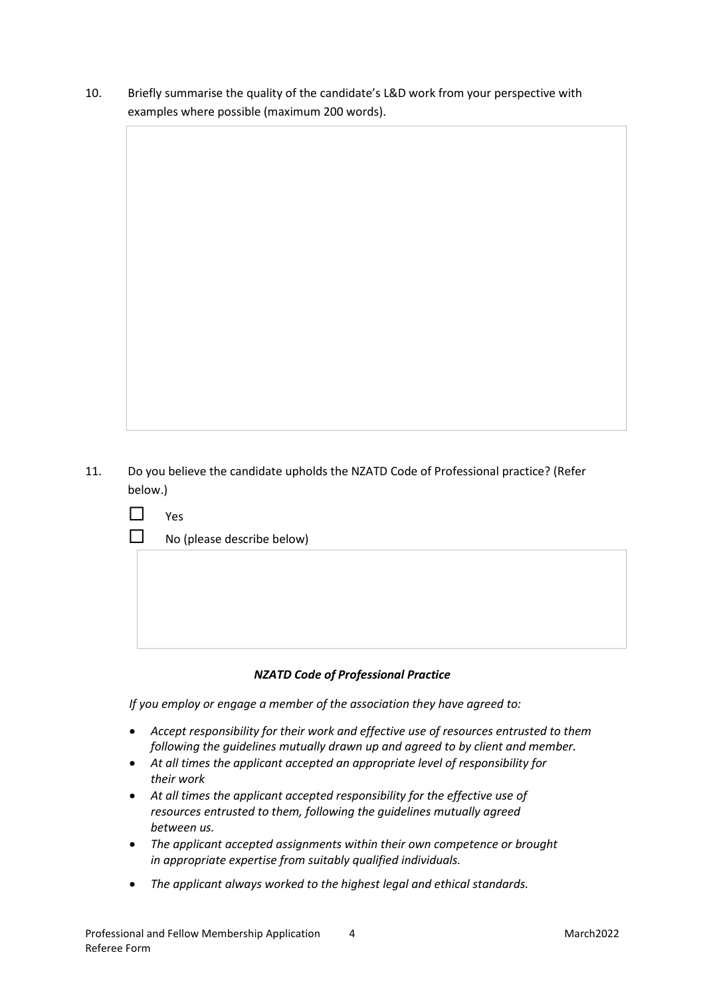10. Briefly summarise the quality of the candidate's L&D work from your perspective with examples where possible (maximum 200 words).

11. Do you believe the candidate upholds the NZATD Code of Professional practice? (Refer below.)

| L | Yes                        |
|---|----------------------------|
| ப | No (please describe below) |
|   |                            |
|   |                            |
|   |                            |
|   |                            |
|   |                            |

## *NZATD Code of Professional Practice*

*If you employ or engage a member of the association they have agreed to:*

- *Accept responsibility for their work and effective use of resources entrusted to them following the guidelines mutually drawn up and agreed to by client and member.*
- *At all times the applicant accepted an appropriate level of responsibility for their work*
- *At all times the applicant accepted responsibility for the effective use of resources entrusted to them, following the guidelines mutually agreed between us.*
- *The applicant accepted assignments within their own competence or brought in appropriate expertise from suitably qualified individuals.*
- *The applicant always worked to the highest legal and ethical standards.*